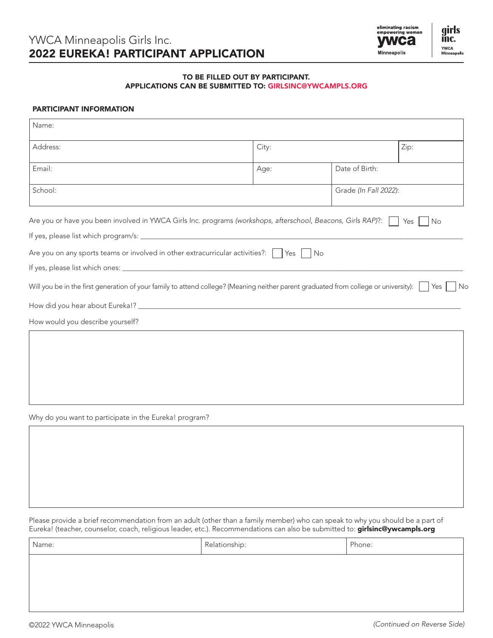

## TO BE FILLED OUT BY PARTICIPANT. APPLICATIONS CAN BE SUBMITTED TO: GIRLSINC@YWCAMPLS.ORG

# PARTICIPANT INFORMATION

| Name:                                                                                                                                      |       |                       |             |
|--------------------------------------------------------------------------------------------------------------------------------------------|-------|-----------------------|-------------|
|                                                                                                                                            |       |                       |             |
| Address:                                                                                                                                   | City: |                       | Zip:        |
| Email:                                                                                                                                     | Age:  | Date of Birth:        |             |
| School:                                                                                                                                    |       | Grade (In Fall 2022): |             |
| Are you or have you been involved in YWCA Girls Inc. programs (workshops, afterschool, Beacons, Girls RAP)?:                               |       |                       | Yes I<br>No |
|                                                                                                                                            |       |                       |             |
| Are you on any sports teams or involved in other extracurricular activities?: $\Box$ Yes $\Box$ No                                         |       |                       |             |
|                                                                                                                                            |       |                       |             |
| Will you be in the first generation of your family to attend college? (Meaning neither parent graduated from college or university):   Yes |       |                       | No          |
|                                                                                                                                            |       |                       |             |
| How would you describe yourself?                                                                                                           |       |                       |             |
|                                                                                                                                            |       |                       |             |
|                                                                                                                                            |       |                       |             |
|                                                                                                                                            |       |                       |             |
|                                                                                                                                            |       |                       |             |
|                                                                                                                                            |       |                       |             |
| Why do you want to participate in the Eureka! program?                                                                                     |       |                       |             |
|                                                                                                                                            |       |                       |             |
|                                                                                                                                            |       |                       |             |
|                                                                                                                                            |       |                       |             |

Please provide a brief recommendation from an adult (other than a family member) who can speak to why you should be a part of Eureka! (teacher, counselor, coach, religious leader, etc.). Recommendations can also be submitted to: girlsinc@ywcampls.org

| Name: | Relationship: | Phone: |
|-------|---------------|--------|
|       |               |        |